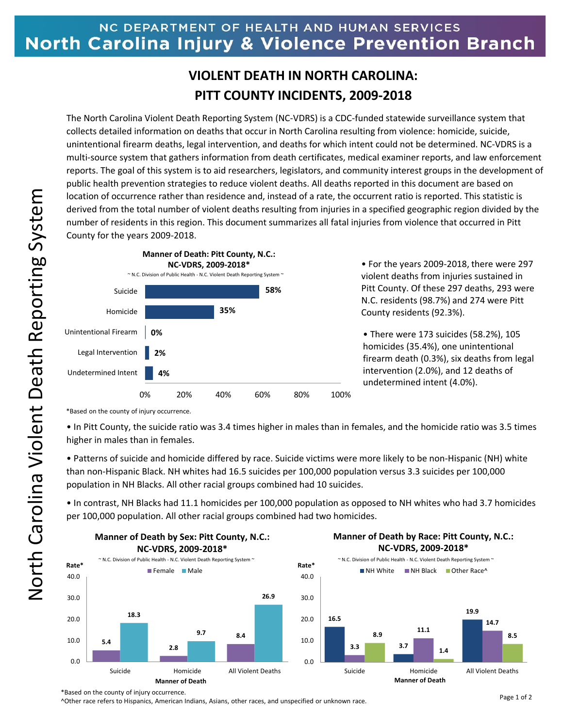## NC DEPARTMENT OF HEALTH AND HUMAN SERVICES North Carolina Injury & Violence Prevention Branch

## **VIOLENT DEATH IN NORTH CAROLINA: PITT COUNTY INCIDENTS, 2009-2018**

The North Carolina Violent Death Reporting System (NC-VDRS) is a CDC-funded statewide surveillance system that collects detailed information on deaths that occur in North Carolina resulting from violence: homicide, suicide, unintentional firearm deaths, legal intervention, and deaths for which intent could not be determined. NC-VDRS is a multi-source system that gathers information from death certificates, medical examiner reports, and law enforcement reports. The goal of this system is to aid researchers, legislators, and community interest groups in the development of public health prevention strategies to reduce violent deaths. All deaths reported in this document are based on location of occurrence rather than residence and, instead of a rate, the occurrent ratio is reported. This statistic is derived from the total number of violent deaths resulting from injuries in a specified geographic region divided by the number of residents in this region. This document summarizes all fatal injuries from violence that occurred in Pitt County for the years 2009-2018.



• For the years 2009-2018, there were 297 violent deaths from injuries sustained in Pitt County. Of these 297 deaths, 293 were N.C. residents (98.7%) and 274 were Pitt County residents (92.3%).

• There were 173 suicides (58.2%), 105 homicides (35.4%), one unintentional firearm death (0.3%), six deaths from legal intervention (2.0%), and 12 deaths of undetermined intent (4.0%).

\*Based on the county of injury occurrence.

• In Pitt County, the suicide ratio was 3.4 times higher in males than in females, and the homicide ratio was 3.5 times higher in males than in females.

• Patterns of suicide and homicide differed by race. Suicide victims were more likely to be non-Hispanic (NH) white than non-Hispanic Black. NH whites had 16.5 suicides per 100,000 population versus 3.3 suicides per 100,000 population in NH Blacks. All other racial groups combined had 10 suicides.

• In contrast, NH Blacks had 11.1 homicides per 100,000 population as opposed to NH whites who had 3.7 homicides per 100,000 population. All other racial groups combined had two homicides.



## **M M Manner of Death by Race: Pitt County, N.C.: NC-VDRS, 2009-2018\***

**19.9**

**1.4**

**14.7**

\*Based on the county of injury occurrence.

^Other race refers to Hispanics, American Indians, Asians, other races, and unspecified or unknown race.

**8.5**